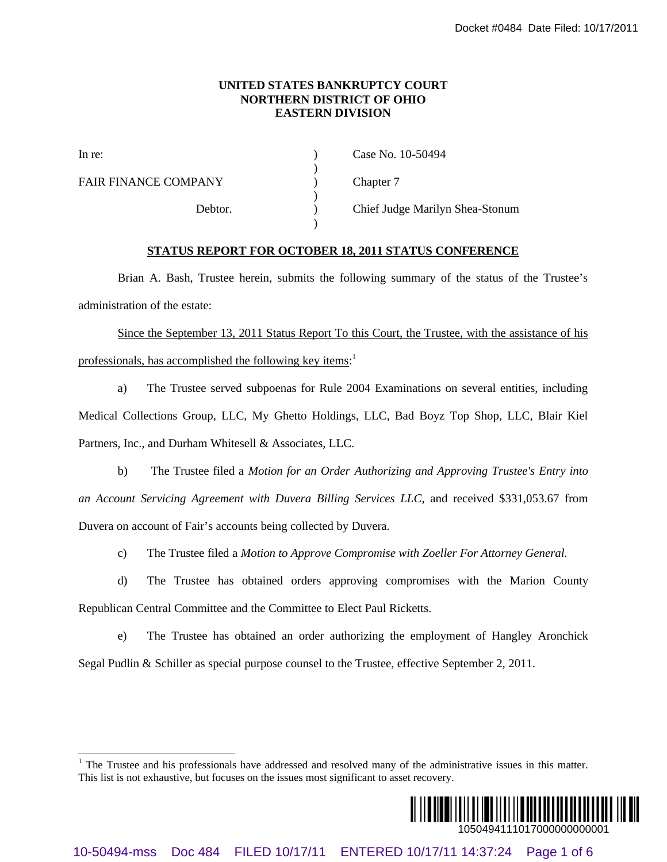## **UNITED STATES BANKRUPTCY COURT NORTHERN DISTRICT OF OHIO EASTERN DIVISION**

|                                                                                                      | Docket #0484 Date Filed: 10/17/2011                                                                                                                |
|------------------------------------------------------------------------------------------------------|----------------------------------------------------------------------------------------------------------------------------------------------------|
| UNITED STATES BANKRUPTCY COURT<br><b>NORTHERN DISTRICT OF OHIO</b><br><b>EASTERN DIVISION</b>        |                                                                                                                                                    |
| In re:                                                                                               | Case No. 10-50494                                                                                                                                  |
| <b>FAIR FINANCE COMPANY</b>                                                                          | Chapter 7                                                                                                                                          |
| Debtor.                                                                                              | Chief Judge Marilyn Shea-Stonum                                                                                                                    |
|                                                                                                      | <b>STATUS REPORT FOR OCTOBER 18, 2011 STATUS CONFERENCE</b>                                                                                        |
|                                                                                                      | Brian A. Bash, Trustee herein, submits the following summary of the status of the Trustee's                                                        |
| administration of the estate:                                                                        |                                                                                                                                                    |
|                                                                                                      | Since the September 13, 2011 Status Report To this Court, the Trustee, with the assistance of his                                                  |
| professionals, has accomplished the following key items: <sup>1</sup>                                |                                                                                                                                                    |
| a)                                                                                                   | The Trustee served subpoenas for Rule 2004 Examinations on several entities, including                                                             |
| Medical Collections Group, LLC, My Ghetto Holdings, LLC, Bad Boyz Top Shop, LLC, Blair Kiel          |                                                                                                                                                    |
| Partners, Inc., and Durham Whitesell & Associates, LLC.                                              |                                                                                                                                                    |
| b)                                                                                                   | The Trustee filed a Motion for an Order Authorizing and Approving Trustee's Entry into                                                             |
|                                                                                                      | an Account Servicing Agreement with Duvera Billing Services LLC, and received \$331,053.67 from                                                    |
| Duvera on account of Fair's accounts being collected by Duvera.                                      |                                                                                                                                                    |
| The Trustee filed a Motion to Approve Compromise with Zoeller For Attorney General.<br>$\mathbf{c})$ |                                                                                                                                                    |
| d)                                                                                                   | The Trustee has obtained orders approving compromises with the Marion County                                                                       |
| Republican Central Committee and the Committee to Elect Paul Ricketts.                               |                                                                                                                                                    |
| e)                                                                                                   | The Trustee has obtained an order authorizing the employment of Hangley Aronchick                                                                  |
|                                                                                                      | Segal Pudlin & Schiller as special purpose counsel to the Trustee, effective September 2, 2011.                                                    |
|                                                                                                      |                                                                                                                                                    |
|                                                                                                      |                                                                                                                                                    |
| This list is not exhaustive, but focuses on the issues most significant to asset recovery.           | $1$ The Trustee and his professionals have addressed and resolved many of the administrative issues in this matter.                                |
|                                                                                                      | <u> AI III AIN AN IIIII AN IIII AN AN IIII AN AN III AN III AN III AN III AN III AN III AN III AN III AN III AN I</u><br>1050494111017000000000001 |
| 10-50494-mss                                                                                         | Doc 484 FILED 10/17/11 ENTERED 10/17/11 14:37:24 Page 1 of 6                                                                                       |

## **STATUS REPORT FOR OCTOBER 18, 2011 STATUS CONFERENCE**

<sup>&</sup>lt;sup>1</sup> The Trustee and his professionals have addressed and resolved many of the administrative issues in this matter. This list is not exhaustive, but focuses on the issues most significant to asset recovery.

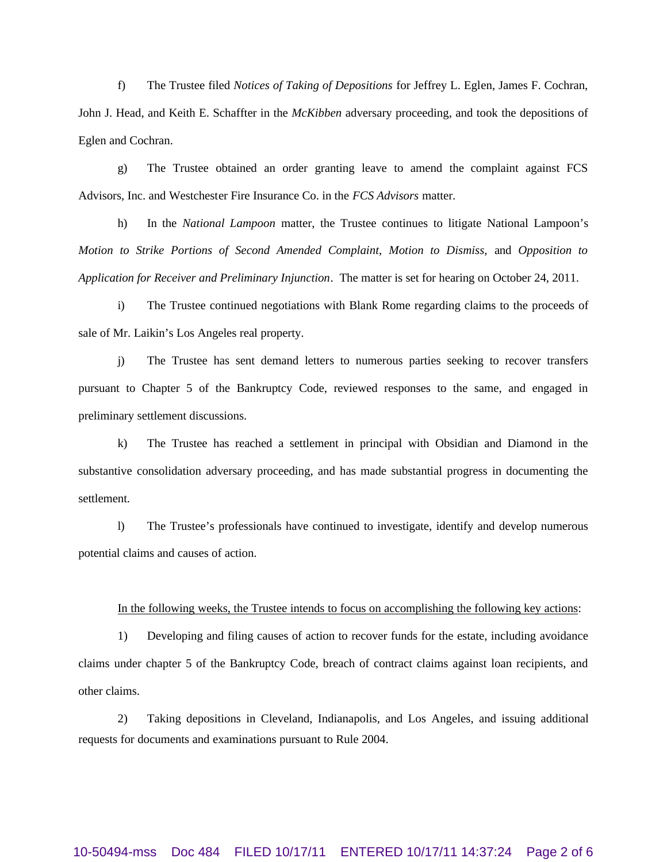f) The Trustee filed *Notices of Taking of Depositions* for Jeffrey L. Eglen, James F. Cochran, John J. Head, and Keith E. Schaffter in the *McKibben* adversary proceeding, and took the depositions of Eglen and Cochran.

g) The Trustee obtained an order granting leave to amend the complaint against FCS Advisors, Inc. and Westchester Fire Insurance Co. in the *FCS Advisors* matter.

h) In the *National Lampoon* matter, the Trustee continues to litigate National Lampoon's *Motion to Strike Portions of Second Amended Complaint*, *Motion to Dismiss,* and *Opposition to Application for Receiver and Preliminary Injunction*. The matter is set for hearing on October 24, 2011.

i) The Trustee continued negotiations with Blank Rome regarding claims to the proceeds of sale of Mr. Laikin's Los Angeles real property.

j) The Trustee has sent demand letters to numerous parties seeking to recover transfers pursuant to Chapter 5 of the Bankruptcy Code, reviewed responses to the same, and engaged in preliminary settlement discussions.

k) The Trustee has reached a settlement in principal with Obsidian and Diamond in the substantive consolidation adversary proceeding, and has made substantial progress in documenting the settlement.

l) The Trustee's professionals have continued to investigate, identify and develop numerous potential claims and causes of action.

### In the following weeks, the Trustee intends to focus on accomplishing the following key actions:

1) Developing and filing causes of action to recover funds for the estate, including avoidance claims under chapter 5 of the Bankruptcy Code, breach of contract claims against loan recipients, and other claims.

2) Taking depositions in Cleveland, Indianapolis, and Los Angeles, and issuing additional requests for documents and examinations pursuant to Rule 2004.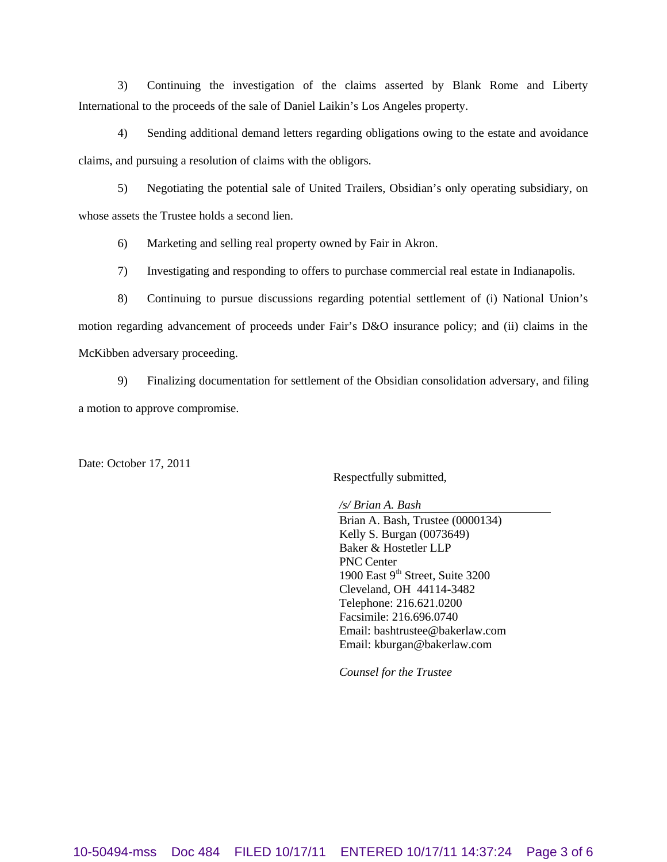3) Continuing the investigation of the claims asserted by Blank Rome and Liberty International to the proceeds of the sale of Daniel Laikin's Los Angeles property.

4) Sending additional demand letters regarding obligations owing to the estate and avoidance claims, and pursuing a resolution of claims with the obligors.

5) Negotiating the potential sale of United Trailers, Obsidian's only operating subsidiary, on whose assets the Trustee holds a second lien.

6) Marketing and selling real property owned by Fair in Akron.

7) Investigating and responding to offers to purchase commercial real estate in Indianapolis.

8) Continuing to pursue discussions regarding potential settlement of (i) National Union's motion regarding advancement of proceeds under Fair's D&O insurance policy; and (ii) claims in the McKibben adversary proceeding.

9) Finalizing documentation for settlement of the Obsidian consolidation adversary, and filing a motion to approve compromise.

Date: October 17, 2011

Respectfully submitted,

*/s/ Brian A. Bash*

Brian A. Bash, Trustee (0000134) Kelly S. Burgan (0073649) Baker & Hostetler LLP PNC Center 1900 East  $9<sup>th</sup>$  Street, Suite 3200 Cleveland, OH 44114-3482 Telephone: 216.621.0200 Facsimile: 216.696.0740 Email: bashtrustee@bakerlaw.com Email: kburgan@bakerlaw.com

*Counsel for the Trustee*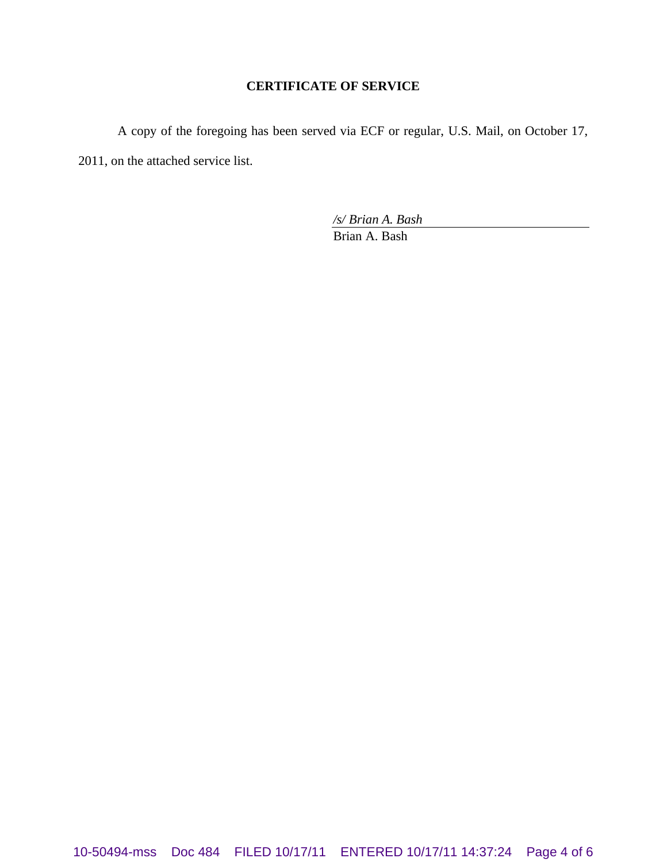# **CERTIFICATE OF SERVICE**

A copy of the foregoing has been served via ECF or regular, U.S. Mail, on October 17, 2011, on the attached service list.

*/s/ Brian A. Bash*

Brian A. Bash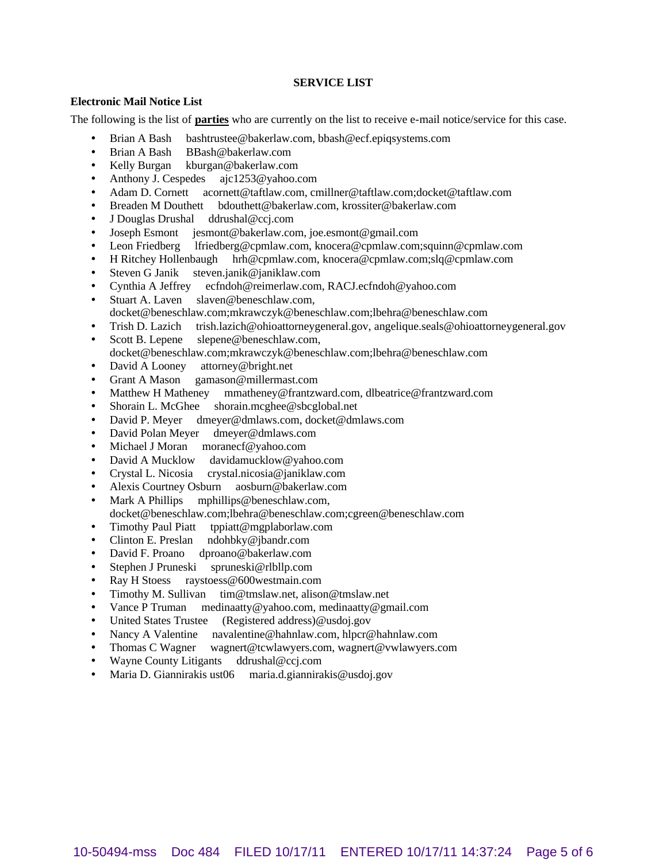## **SERVICE LIST**

### **Electronic Mail Notice List**

The following is the list of **parties** who are currently on the list to receive e-mail notice/service for this case.

- Brian A Bash bashtrustee@bakerlaw.com, bbash@ecf.epiqsystems.com
- Brian A Bash BBash@bakerlaw.com
- Kelly Burgan kburgan@bakerlaw.com
- Anthony J. Cespedes ajc1253@yahoo.com
- Adam D. Cornett acornett@taftlaw.com, cmillner@taftlaw.com;docket@taftlaw.com
- Breaden M Douthett bdouthett@bakerlaw.com, krossiter@bakerlaw.com
- J Douglas Drushal ddrushal@ccj.com
- Joseph Esmont jesmont@bakerlaw.com, joe.esmont@gmail.com
- Leon Friedberg lfriedberg@cpmlaw.com, knocera@cpmlaw.com;squinn@cpmlaw.com
- H Ritchey Hollenbaugh hrh@cpmlaw.com, knocera@cpmlaw.com;slq@cpmlaw.com
- Steven G Janik steven.janik@janiklaw.com
- Cynthia A Jeffrey ecfndoh@reimerlaw.com, RACJ.ecfndoh@yahoo.com
- Stuart A. Laven slaven@beneschlaw.com, docket@beneschlaw.com;mkrawczyk@beneschlaw.com;lbehra@beneschlaw.com
- Trish D. Lazich trish.lazich@ohioattorneygeneral.gov, angelique.seals@ohioattorneygeneral.gov
- Scott B. Lepene slepene@beneschlaw.com, docket@beneschlaw.com;mkrawczyk@beneschlaw.com;lbehra@beneschlaw.com
- David A Looney attorney@bright.net
- Grant A Mason gamason@millermast.com
- Matthew H Matheney mmatheney@frantzward.com, dlbeatrice@frantzward.com<br>Shorain L. McGhee shorain.mcghee@sbcglobal.net
- shorain.mcghee@sbcglobal.net
- David P. Meyer dmeyer@dmlaws.com, docket@dmlaws.com
- David Polan Meyer dmeyer@dmlaws.com
- Michael J Moran moranecf@yahoo.com
- David A Mucklow davidamucklow@yahoo.com
- Crystal L. Nicosia crystal.nicosia@janiklaw.com
- Alexis Courtney Osburn aosburn@bakerlaw.com
- Mark A Phillips mphillips@beneschlaw.com,
- docket@beneschlaw.com;lbehra@beneschlaw.com;cgreen@beneschlaw.com
- Timothy Paul Piatt tppiatt@mgplaborlaw.com
- Clinton E. Preslan ndohbky@jbandr.com
- David F. Proano dproano@bakerlaw.com
- Stephen J Pruneski spruneski@rlbllp.com
- Ray H Stoess raystoess@600westmain.com
- Timothy M. Sullivan tim@tmslaw.net, alison@tmslaw.net
- Vance P Truman medinaatty@yahoo.com, medinaatty@gmail.com
- United States Trustee (Registered address)@usdoj.gov
- Nancy A Valentine navalentine@hahnlaw.com, hlpcr@hahnlaw.com
- Thomas C Wagner wagnert@tcwlawyers.com, wagnert@vwlawyers.com
- Wayne County Litigants ddrushal@ccj.com
- Maria D. Giannirakis ust06 maria.d.giannirakis@usdoj.gov